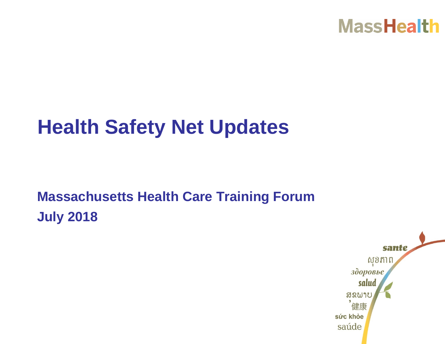

# **Health Safety Net Updates**

#### **Massachusetts Health Care Training Forum July 2018**

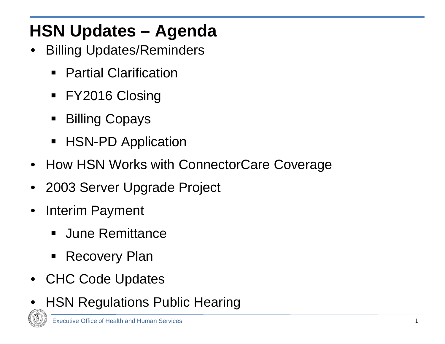### **HSN Updates – Agenda**

- **Billing Updates/Reminders** 
	- Partial Clarification
	- **FY2016 Closing**
	- Billing Copays
	- **HSN-PD Application**
- How HSN Works with ConnectorCare Coverage
- 2003 Server Upgrade Project
- Interim Payment
	- **June Remittance**
	- Recovery Plan
- CHC Code Updates
- **HSN Regulations Public Hearing**

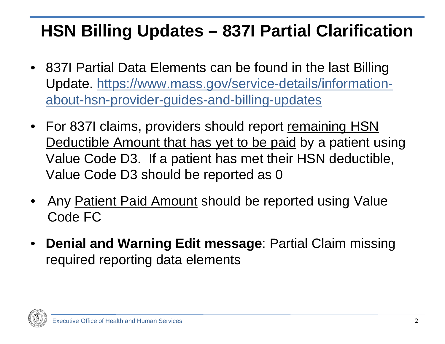### **HSN Billing Updates – 837I Partial Clarification**

- 837I Partial Data Elements can be found in the last Billing [Update. https://www.mass.gov/service-details/information](https://www.mass.gov/service-details/information-about-hsn-provider-guides-and-billing-updates)about-hsn-provider-guides-and-billing-updates
- For 837I claims, providers should report remaining HSN Deductible Amount that has yet to be paid by a patient using Value Code D3. If a patient has met their HSN deductible, Value Code D3 should be reported as 0
- Any Patient Paid Amount should be reported using Value Code FC
- **Denial and Warning Edit message**: Partial Claim missing required reporting data elements

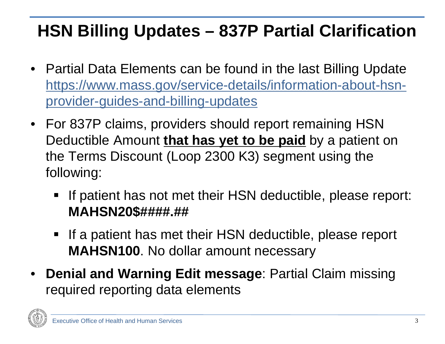### **HSN Billing Updates – 837P Partial Clarification**

- Partial Data Elements can be found in the last Billing Update [https://www.mass.gov/service-details/information-about-hsn](https://www.mass.gov/service-details/information-about-hsn-provider-guides-and-billing-updates)provider-guides-and-billing-updates
- For 837P claims, providers should report remaining HSN Deductible Amount **that has yet to be paid** by a patient on the Terms Discount (Loop 2300 K3) segment using the following:
	- If patient has not met their HSN deductible, please report: **MAHSN20\$####.##**
	- If a patient has met their HSN deductible, please report **MAHSN100**. No dollar amount necessary
- **Denial and Warning Edit message**: Partial Claim missing required reporting data elements

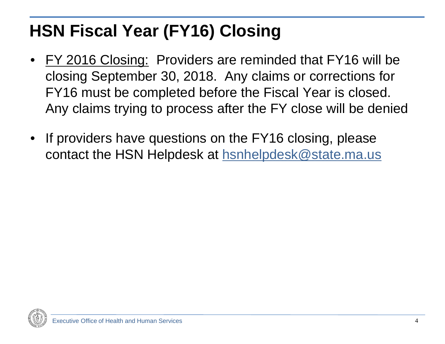### **HSN Fiscal Year (FY16) Closing**

- FY 2016 Closing: Providers are reminded that FY16 will be closing September 30, 2018. Any claims or corrections for FY16 must be completed before the Fiscal Year is closed. Any claims trying to process after the FY close will be denied
- If providers have questions on the FY16 closing, please contact the HSN Helpdesk at [hsnhelpdesk@state.ma.us](mailto:hsnhelpdesk@state.ma.us)

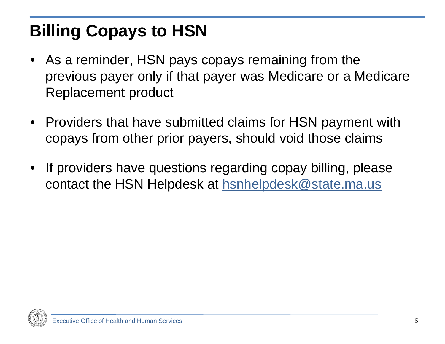# **Billing Copays to HSN**

- As a reminder, HSN pays copays remaining from the previous payer only if that payer was Medicare or a Medicare Replacement product
- Providers that have submitted claims for HSN payment with copays from other prior payers, should void those claims
- If providers have questions regarding copay billing, please contact the HSN Helpdesk at [hsnhelpdesk@state.ma.us](mailto:hsnhelpdesk@state.ma.us)

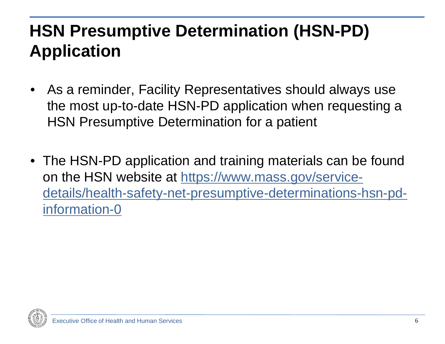### **HSN Presumptive Determination (HSN-PD) Application**

- As a reminder, Facility Representatives should always use the most up-to-date HSN-PD application when requesting a HSN Presumptive Determination for a patient
- The HSN-PD application and training materials can be found on the HSN website at https://www.mass.gov/service[details/health-safety-net-presumptive-determinations-hsn-pd](https://www.mass.gov/service-details/health-safety-net-presumptive-determinations-hsn-pd-information-0)information-0

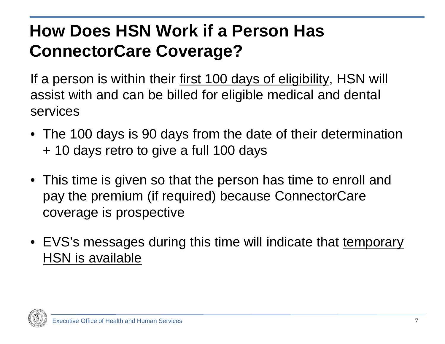### **How Does HSN Work if a Person Has ConnectorCare Coverage?**

If a person is within their first 100 days of eligibility, HSN will assist with and can be billed for eligible medical and dental services

- The 100 days is 90 days from the date of their determination + 10 days retro to give a full 100 days
- This time is given so that the person has time to enroll and pay the premium (if required) because ConnectorCare coverage is prospective
- EVS's messages during this time will indicate that temporary HSN is available

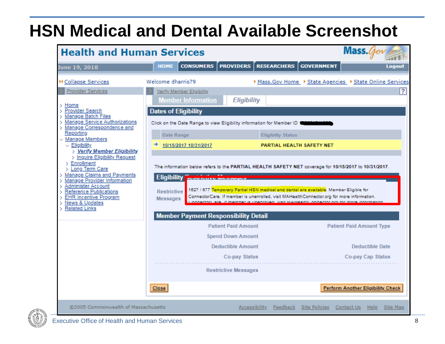#### **HSN Medical and Dental Available Screenshot**

| Mass.Cov<br><b>Health and Human Services</b>                                                                                                                                                                                                                                                                                                                                                                                                                                                                                                                                           |                                                                                                                                                                                                                                                                                                                                                                                |                                                                                                                                                                                                                                                                                                                                                                                                                                     |                                                               |  |
|----------------------------------------------------------------------------------------------------------------------------------------------------------------------------------------------------------------------------------------------------------------------------------------------------------------------------------------------------------------------------------------------------------------------------------------------------------------------------------------------------------------------------------------------------------------------------------------|--------------------------------------------------------------------------------------------------------------------------------------------------------------------------------------------------------------------------------------------------------------------------------------------------------------------------------------------------------------------------------|-------------------------------------------------------------------------------------------------------------------------------------------------------------------------------------------------------------------------------------------------------------------------------------------------------------------------------------------------------------------------------------------------------------------------------------|---------------------------------------------------------------|--|
| June 19, 2018                                                                                                                                                                                                                                                                                                                                                                                                                                                                                                                                                                          | <b>CONSUMERS</b><br><b>HOME</b>                                                                                                                                                                                                                                                                                                                                                | <b>PROVIDERS</b> RESEARCHERS<br><b>GOVERNMENT</b>                                                                                                                                                                                                                                                                                                                                                                                   | <b>Logout</b>                                                 |  |
| <b>44 Collapse Services</b><br><b>Provider Services</b><br>$>$ Home<br><b>Provider Search</b><br>У<br>> Manage Batch Files<br>Manage Service Authorizations<br>> Manage Correspondence and<br>Reporting<br>$\vee$ Manage Members<br>$\vee$ Eligibility<br>> Verify Member Eligibility<br>> Inquire Eligibility Request<br>$\ge$ Enrollment<br>> Long Term Care<br>> Manage Claims and Payments<br>> Manage Provider Information<br>Administer Account<br>><br><b>Reference Publications</b><br><b>EHR Incentive Program</b><br>×.<br><b>News &amp; Updates</b><br><b>Related Links</b> | Welcome dharris79<br>Verify Member Eligibility<br><b>Member Information</b><br><b>Dates of Eligibility</b><br>Click on the Date Range to view Eligibility information for Member ID 1<br>Date Range<br>10/15/2017 10/31/2017<br>◆<br><b>Eligibility</b><br><b>MOUTHLY &amp; INPOSU</b><br><b>Restrictive</b><br><b>Messages</b><br><b>Member Payment Responsibility Detail</b> | <b>Eligibility</b><br><b>Eligiblity Status</b><br>PARTIAL HEALTH SAFETY NET<br>The information below refers to the PARTIAL HEALTH SAFETY NET coverage for 10/15/2017 to 10/31/2017.<br>1527 / 677 Temporary Partial HSN medical and dental are available. Member Eligible for<br>ConnectorCare. If member is unenrolled, visit MAHealthConnector.org for more information.<br>If monitor is unontalied, yest MAHoolthi (onnector on | ▶ Mass.Gov Home ▶ State Agencies ▶ State Online Services<br>? |  |
|                                                                                                                                                                                                                                                                                                                                                                                                                                                                                                                                                                                        | <b>Patient Paid Amount</b>                                                                                                                                                                                                                                                                                                                                                     |                                                                                                                                                                                                                                                                                                                                                                                                                                     | <b>Patient Paid Amount Type</b>                               |  |
|                                                                                                                                                                                                                                                                                                                                                                                                                                                                                                                                                                                        | <b>Spend Down Amount</b>                                                                                                                                                                                                                                                                                                                                                       |                                                                                                                                                                                                                                                                                                                                                                                                                                     |                                                               |  |
|                                                                                                                                                                                                                                                                                                                                                                                                                                                                                                                                                                                        | <b>Deductible Amount</b>                                                                                                                                                                                                                                                                                                                                                       |                                                                                                                                                                                                                                                                                                                                                                                                                                     | <b>Deductible Date</b>                                        |  |
|                                                                                                                                                                                                                                                                                                                                                                                                                                                                                                                                                                                        | <b>Restrictive Messages</b>                                                                                                                                                                                                                                                                                                                                                    | Co-pay Status                                                                                                                                                                                                                                                                                                                                                                                                                       | Co-pay Cap Status                                             |  |
|                                                                                                                                                                                                                                                                                                                                                                                                                                                                                                                                                                                        | <b>Close</b>                                                                                                                                                                                                                                                                                                                                                                   |                                                                                                                                                                                                                                                                                                                                                                                                                                     | <b>Perform Another Eligibility Check</b>                      |  |
| @2005 Commonwealth of Massachusetts                                                                                                                                                                                                                                                                                                                                                                                                                                                                                                                                                    |                                                                                                                                                                                                                                                                                                                                                                                | Site Policies<br>Accessibility<br>Feedback                                                                                                                                                                                                                                                                                                                                                                                          | Contact Us<br>Help<br>Site Map                                |  |

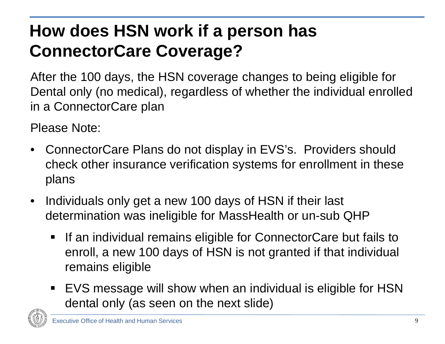# **How does HSN work if a person has ConnectorCare Coverage?**

After the 100 days, the HSN coverage changes to being eligible for Dental only (no medical), regardless of whether the individual enrolled in a ConnectorCare plan

Please Note:

- ConnectorCare Plans do not display in EVS's. Providers should check other insurance verification systems for enrollment in these plans
- Individuals only get a new 100 days of HSN if their last determination was ineligible for MassHealth or un-sub QHP
	- **If an individual remains eligible for ConnectorCare but fails to** enroll, a new 100 days of HSN is not granted if that individual remains eligible
	- EVS message will show when an individual is eligible for HSN dental only (as seen on the next slide)

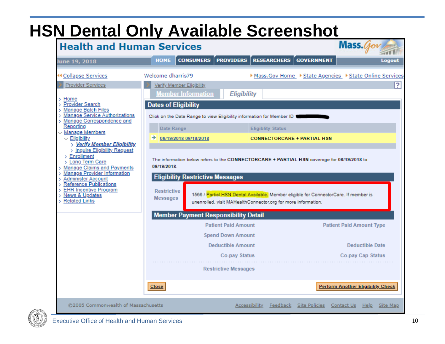#### **HSN Dental Only Available Screenshot**

| Mass. $q_{o}$<br><b>Health and Human Services</b>                                                                                                                                                                                                                                                                                                                                                                                                                                                                |                                                                                                                                                                                                                                                                                                                                                                                                                                                         |                                                                                                                                                                                                                                                                                    |                          |                                    |                                                                                |          |
|------------------------------------------------------------------------------------------------------------------------------------------------------------------------------------------------------------------------------------------------------------------------------------------------------------------------------------------------------------------------------------------------------------------------------------------------------------------------------------------------------------------|---------------------------------------------------------------------------------------------------------------------------------------------------------------------------------------------------------------------------------------------------------------------------------------------------------------------------------------------------------------------------------------------------------------------------------------------------------|------------------------------------------------------------------------------------------------------------------------------------------------------------------------------------------------------------------------------------------------------------------------------------|--------------------------|------------------------------------|--------------------------------------------------------------------------------|----------|
| June 19, 2018                                                                                                                                                                                                                                                                                                                                                                                                                                                                                                    | <b>CONSUMERS</b><br><b>HOME</b>                                                                                                                                                                                                                                                                                                                                                                                                                         | <b>PROVIDERS</b>                                                                                                                                                                                                                                                                   | <b>RESEARCHERS</b>       | <b>GOVERNMENT</b>                  |                                                                                | Logout   |
| <b>44 Collapse Services</b>                                                                                                                                                                                                                                                                                                                                                                                                                                                                                      | Welcome dharris79                                                                                                                                                                                                                                                                                                                                                                                                                                       |                                                                                                                                                                                                                                                                                    |                          |                                    | ▶ Mass. Gov Home ▶ State Agencies ▶ State Online Services                      |          |
| Provider Services<br>Home<br>Provider Search<br>Manage Batch Files<br><b>Manage Service Authorizations</b><br>Manage Correspondence and<br>Reporting<br>$\vee$ Manage Members<br>$\vee$ Eligibility<br>> Verify Member Eligibility<br>> Inquire Eligibility Request<br>$\angle$ Enrollment<br>> Long Term Care<br>Manage Claims and Payments<br>Manage Provider Information<br>Administer Account<br>Reference Publications<br><b>EHR Incentive Program</b><br><b>News &amp; Updates</b><br><b>Related Links</b> | Verify Member Eligibility<br><b>Member Information</b><br><b>Dates of Eligibility</b><br>Click on the Date Range to view Eligibility information for Member ID 1<br>Date Range<br>06/19/2018 06/19/2018<br>The information below refers to the CONNECTORCARE + PARTIAL HSN coverage for 06/19/2018 to<br>06/19/2018.<br><b>Eligibility Restrictive Messages</b><br><b>Restrictive</b><br><b>Messages</b><br><b>Member Payment Responsibility Detail</b> | <b>Eligibility</b><br>1566 / Partial HSN Dental Available, Member eligible for ConnectorCare. If member is<br>unenrolled, visit MAHealthConnector.org for more information.<br><b>Patient Paid Amount</b><br><b>Spend Down Amount</b><br><b>Deductible Amount</b><br>Co-pay Status | <b>Eligiblity Status</b> | <b>CONNECTORCARE + PARTIAL HSN</b> | <b>Patient Paid Amount Type</b><br><b>Deductible Date</b><br>Co-pay Cap Status | 71       |
|                                                                                                                                                                                                                                                                                                                                                                                                                                                                                                                  | <b>Close</b>                                                                                                                                                                                                                                                                                                                                                                                                                                            | <b>Restrictive Messages</b>                                                                                                                                                                                                                                                        |                          |                                    | <b>Perform Another Eligibility Check</b>                                       |          |
| @2005 Commonwealth of Massachusetts                                                                                                                                                                                                                                                                                                                                                                                                                                                                              |                                                                                                                                                                                                                                                                                                                                                                                                                                                         | Accessibility                                                                                                                                                                                                                                                                      | Feedback                 | Site Policies                      | Contact Us<br>Help                                                             | Site Map |

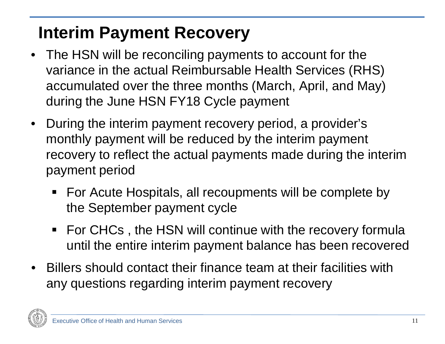### **Interim Payment Recovery**

- The HSN will be reconciling payments to account for the variance in the actual Reimbursable Health Services (RHS) accumulated over the three months (March, April, and May) during the June HSN FY18 Cycle payment
- During the interim payment recovery period, a provider's monthly payment will be reduced by the interim payment recovery to reflect the actual payments made during the interim payment period
	- For Acute Hospitals, all recoupments will be complete by the September payment cycle
	- For CHCs, the HSN will continue with the recovery formula until the entire interim payment balance has been recovered
- Billers should contact their finance team at their facilities with any questions regarding interim payment recovery

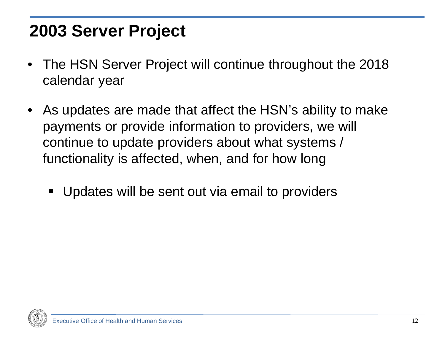#### **2003 Server Project**

- The HSN Server Project will continue throughout the 2018 calendar year
- As updates are made that affect the HSN's ability to make payments or provide information to providers, we will continue to update providers about what systems / functionality is affected, when, and for how long
	- Updates will be sent out via email to providers

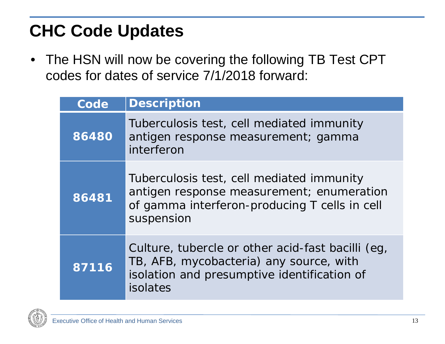#### **CHC Code Updates**

• The HSN will now be covering the following TB Test CPT codes for dates of service 7/1/2018 forward:

| Code  | <b>Description</b>                                                                                                                                      |
|-------|---------------------------------------------------------------------------------------------------------------------------------------------------------|
| 86480 | Tuberculosis test, cell mediated immunity<br>antigen response measurement; gamma<br>interferon                                                          |
| 86481 | Tuberculosis test, cell mediated immunity<br>antigen response measurement; enumeration<br>of gamma interferon-producing T cells in cell<br>suspension   |
| 87116 | Culture, tubercle or other acid-fast bacilli (eg,<br>TB, AFB, mycobacteria) any source, with<br>isolation and presumptive identification of<br>isolates |

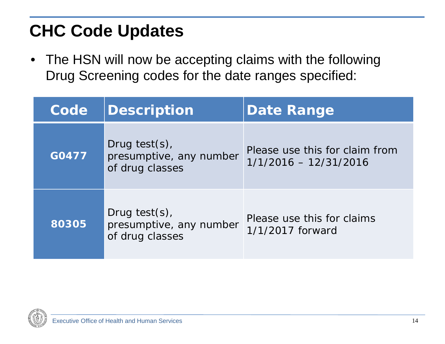#### **CHC Code Updates**

• The HSN will now be accepting claims with the following Drug Screening codes for the date ranges specified:

| Code  | Description                                                     | <b>Date Range</b>                                         |
|-------|-----------------------------------------------------------------|-----------------------------------------------------------|
| G0477 | Drug test $(s)$ ,<br>presumptive, any number<br>of drug classes | Please use this for claim from<br>$1/1/2016 - 12/31/2016$ |
| 80305 | Drug test(s),<br>presumptive, any number<br>of drug classes     | Please use this for claims<br>1/1/2017 forward            |

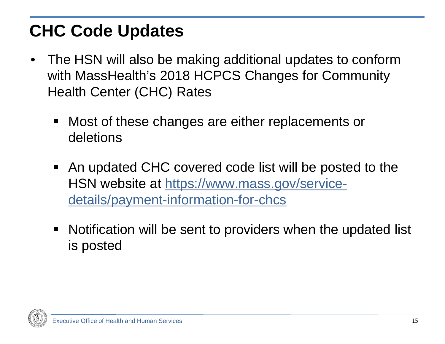#### **CHC Code Updates**

- The HSN will also be making additional updates to conform with MassHealth's 2018 HCPCS Changes for Community Health Center (CHC) Rates
	- Most of these changes are either replacements or deletions
	- An updated CHC covered code list will be posted to the [HSN website at https://www.mass.gov/service](https://www.mass.gov/service-details/payment-information-for-chcs)details/payment-information-for-chcs
	- Notification will be sent to providers when the updated list is posted

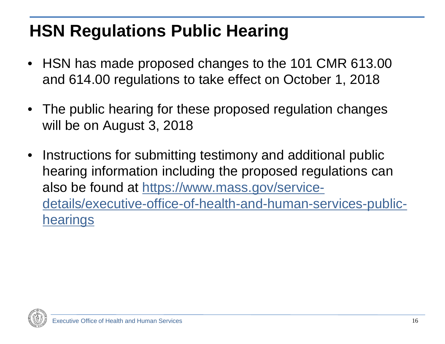### **HSN Regulations Public Hearing**

- HSN has made proposed changes to the 101 CMR 613.00 and 614.00 regulations to take effect on October 1, 2018
- The public hearing for these proposed regulation changes will be on August 3, 2018
- Instructions for submitting testimony and additional public hearing information including the proposed regulations can also be found at https://www.mass.gov/service[details/executive-office-of-health-and-human-services-public](https://www.mass.gov/service-details/executive-office-of-health-and-human-services-public-hearings)**hearings**